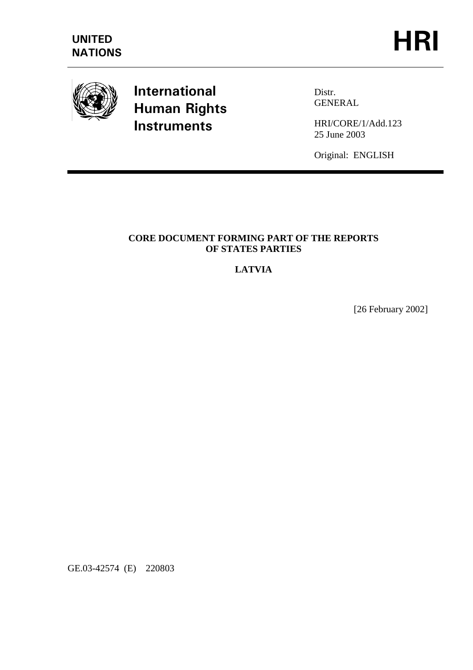

# **International Human Rights Instruments**

Distr. GENERAL

HRI/CORE/1/Add.123 25 June 2003

Original: ENGLISH

## **CORE DOCUMENT FORMING PART OF THE REPORTS OF STATES PARTIES**

# **LATVIA**

[26 February 2002]

GE.03-42574 (E) 220803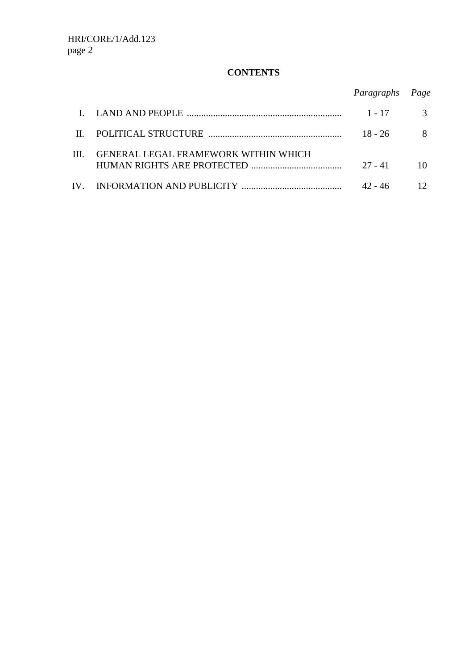# **CONTENTS**

|       |                                      | Paragraphs Page |  |
|-------|--------------------------------------|-----------------|--|
|       |                                      |                 |  |
|       |                                      | $1 - 17$        |  |
| $\Pi$ | POLITICAL STRUCTURE                  | $18 - 26$       |  |
| Ш     | GENERAL LEGAL FRAMEWORK WITHIN WHICH |                 |  |
|       | HUMAN RIGHTS ARE PROTECTED           | $27 - 41$       |  |
| IV.   |                                      | $42 - 46$       |  |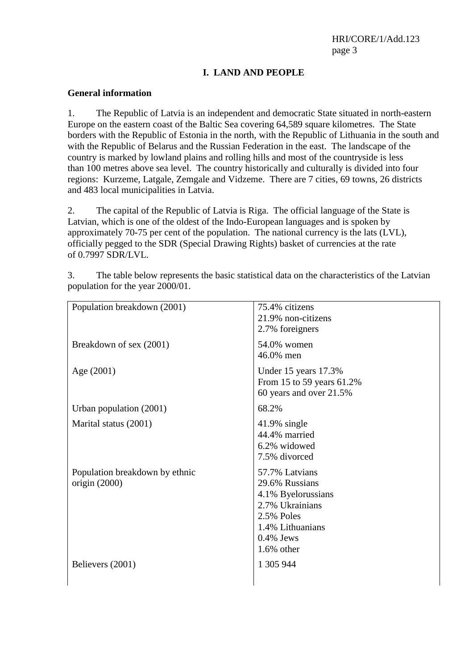## **I. LAND AND PEOPLE**

#### **General information**

1. The Republic of Latvia is an independent and democratic State situated in north-eastern Europe on the eastern coast of the Baltic Sea covering 64,589 square kilometres. The State borders with the Republic of Estonia in the north, with the Republic of Lithuania in the south and with the Republic of Belarus and the Russian Federation in the east. The landscape of the country is marked by lowland plains and rolling hills and most of the countryside is less than 100 metres above sea level. The country historically and culturally is divided into four regions: Kurzeme, Latgale, Zemgale and Vidzeme. There are 7 cities, 69 towns, 26 districts and 483 local municipalities in Latvia.

2. The capital of the Republic of Latvia is Riga. The official language of the State is Latvian, which is one of the oldest of the Indo-European languages and is spoken by approximately 70-75 per cent of the population. The national currency is the lats (LVL), officially pegged to the SDR (Special Drawing Rights) basket of currencies at the rate of 0.7997 SDR/LVL.

| Population breakdown (2001)                       | 75.4% citizens<br>21.9% non-citizens<br>2.7% foreigners                                                                                      |
|---------------------------------------------------|----------------------------------------------------------------------------------------------------------------------------------------------|
| Breakdown of sex (2001)                           | 54.0% women<br>46.0% men                                                                                                                     |
| Age (2001)                                        | Under 15 years 17.3%<br>From 15 to 59 years 61.2%<br>60 years and over 21.5%                                                                 |
| Urban population $(2001)$                         | 68.2%                                                                                                                                        |
| Marital status (2001)                             | $41.9\%$ single<br>44.4% married<br>6.2% widowed<br>7.5% divorced                                                                            |
| Population breakdown by ethnic<br>origin $(2000)$ | 57.7% Latvians<br>29.6% Russians<br>4.1% Byelorussians<br>2.7% Ukrainians<br>2.5% Poles<br>1.4% Lithuanians<br>$0.4\%$ Jews<br>$1.6\%$ other |
| Believers (2001)                                  | 1 305 944                                                                                                                                    |

3. The table below represents the basic statistical data on the characteristics of the Latvian population for the year 2000/01.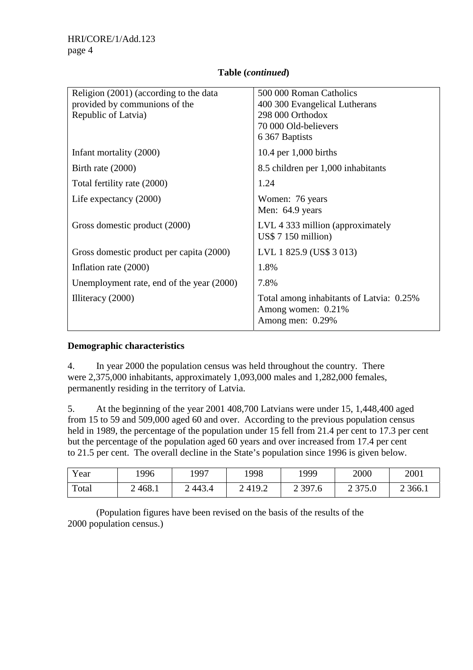## **Table (***continued***)**

| Religion (2001) (according to the data<br>provided by communions of the<br>Republic of Latvia) | 500 000 Roman Catholics<br>400 300 Evangelical Lutherans<br>298 000 Orthodox<br>70 000 Old-believers<br>6 367 Baptists |
|------------------------------------------------------------------------------------------------|------------------------------------------------------------------------------------------------------------------------|
| Infant mortality (2000)                                                                        | 10.4 per $1,000$ births                                                                                                |
| Birth rate $(2000)$                                                                            | 8.5 children per 1,000 inhabitants                                                                                     |
| Total fertility rate (2000)                                                                    | 1.24                                                                                                                   |
| Life expectancy $(2000)$                                                                       | Women: 76 years<br>Men: 64.9 years                                                                                     |
| Gross domestic product (2000)                                                                  | LVL 4 333 million (approximately<br>US\$7150 million)                                                                  |
| Gross domestic product per capita (2000)                                                       | LVL 1 825.9 (US\$ 3 013)                                                                                               |
| Inflation rate (2000)                                                                          | 1.8%                                                                                                                   |
| Unemployment rate, end of the year (2000)                                                      | 7.8%                                                                                                                   |
| Illiteracy $(2000)$                                                                            | Total among inhabitants of Latvia: 0.25%<br>Among women: 0.21%<br>Among men: 0.29%                                     |

#### **Demographic characteristics**

4. In year 2000 the population census was held throughout the country. There were 2,375,000 inhabitants, approximately 1,093,000 males and 1,282,000 females, permanently residing in the territory of Latvia.

5. At the beginning of the year 2001 408,700 Latvians were under 15, 1,448,400 aged from 15 to 59 and 509,000 aged 60 and over. According to the previous population census held in 1989, the percentage of the population under 15 fell from 21.4 per cent to 17.3 per cent but the percentage of the population aged 60 years and over increased from 17.4 per cent to 21.5 per cent. The overall decline in the State's population since 1996 is given below.

| Year  | 1996       | 1997    | 1998       | 1999                                    | 2000                    | 2001      |
|-------|------------|---------|------------|-----------------------------------------|-------------------------|-----------|
| Total | 468.1<br>↩ | 2,443.4 | 419.2<br>∠ | 2 3 9 7 . 6<br>$\overline{\phantom{0}}$ | ን 275 በ<br>J I J.U<br>↩ | 2 3 6 6.1 |

 (Population figures have been revised on the basis of the results of the 2000 population census.)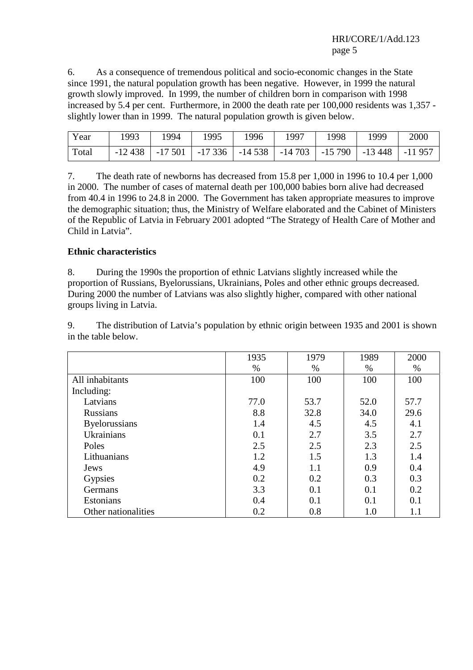6. As a consequence of tremendous political and socio-economic changes in the State since 1991, the natural population growth has been negative. However, in 1999 the natural growth slowly improved. In 1999, the number of children born in comparison with 1998 increased by 5.4 per cent. Furthermore, in 2000 the death rate per 100,000 residents was 1,357 slightly lower than in 1999. The natural population growth is given below.

| Year  | 993 | 1994 | 1995                                                                    | 1996 | 1997 | 1998 | 1999 | 2000 |
|-------|-----|------|-------------------------------------------------------------------------|------|------|------|------|------|
| Total |     |      | $-12438$ $-17501$ $-17336$ $-14538$ $-14703$ $-15790$ $-13448$ $-11957$ |      |      |      |      |      |

7. The death rate of newborns has decreased from 15.8 per 1,000 in 1996 to 10.4 per 1,000 in 2000. The number of cases of maternal death per 100,000 babies born alive had decreased from 40.4 in 1996 to 24.8 in 2000. The Government has taken appropriate measures to improve the demographic situation; thus, the Ministry of Welfare elaborated and the Cabinet of Ministers of the Republic of Latvia in February 2001 adopted "The Strategy of Health Care of Mother and Child in Latvia".

## **Ethnic characteristics**

8. During the 1990s the proportion of ethnic Latvians slightly increased while the proportion of Russians, Byelorussians, Ukrainians, Poles and other ethnic groups decreased. During 2000 the number of Latvians was also slightly higher, compared with other national groups living in Latvia.

1935 1979 1989 2000 % % % % All inhabitants 100 100 100 100 100 100 Including: Latvians 1 77.0 53.7 52.0 57.7 Russians 1 8.8 32.8 34.0 29.6 Byelorussians 1.4 4.5 4.5 4.1 Ukrainians 1. 0.1 2.7 3.5 2.7 Poles 2.5 2.5 2.3 2.5 Lithuanians 1.2 1.5 1.3 1.4 Jews 1.1 0.9 0.4 Gypsies 1 0.2 0.2 0.3 0.3 0.3 Germans 1 3.3 0.1 0.1 0.2 Estonians 1 0.4 0.1 0.1 0.1 0.1 Other nationalities 1.0 1.1

9. The distribution of Latvia's population by ethnic origin between 1935 and 2001 is shown in the table below.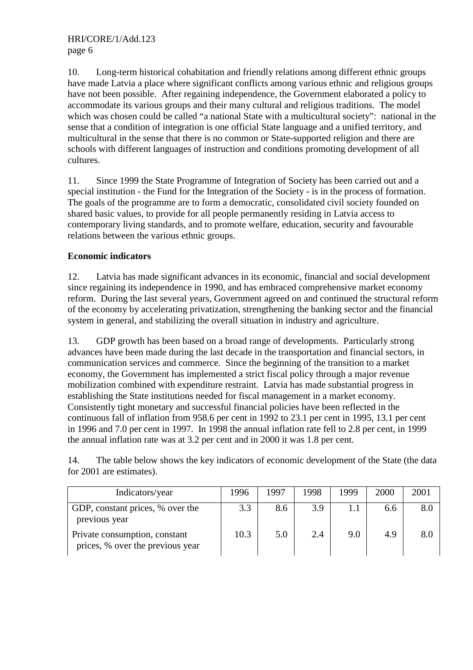10. Long-term historical cohabitation and friendly relations among different ethnic groups have made Latvia a place where significant conflicts among various ethnic and religious groups have not been possible. After regaining independence, the Government elaborated a policy to accommodate its various groups and their many cultural and religious traditions. The model which was chosen could be called "a national State with a multicultural society": national in the sense that a condition of integration is one official State language and a unified territory, and multicultural in the sense that there is no common or State-supported religion and there are schools with different languages of instruction and conditions promoting development of all cultures.

11. Since 1999 the State Programme of Integration of Society has been carried out and a special institution - the Fund for the Integration of the Society - is in the process of formation. The goals of the programme are to form a democratic, consolidated civil society founded on shared basic values, to provide for all people permanently residing in Latvia access to contemporary living standards, and to promote welfare, education, security and favourable relations between the various ethnic groups.

## **Economic indicators**

12. Latvia has made significant advances in its economic, financial and social development since regaining its independence in 1990, and has embraced comprehensive market economy reform. During the last several years, Government agreed on and continued the structural reform of the economy by accelerating privatization, strengthening the banking sector and the financial system in general, and stabilizing the overall situation in industry and agriculture.

13. GDP growth has been based on a broad range of developments. Particularly strong advances have been made during the last decade in the transportation and financial sectors, in communication services and commerce. Since the beginning of the transition to a market economy, the Government has implemented a strict fiscal policy through a major revenue mobilization combined with expenditure restraint. Latvia has made substantial progress in establishing the State institutions needed for fiscal management in a market economy. Consistently tight monetary and successful financial policies have been reflected in the continuous fall of inflation from 958.6 per cent in 1992 to 23.1 per cent in 1995, 13.1 per cent in 1996 and 7.0 per cent in 1997. In 1998 the annual inflation rate fell to 2.8 per cent, in 1999 the annual inflation rate was at 3.2 per cent and in 2000 it was 1.8 per cent.

14. The table below shows the key indicators of economic development of the State (the data for 2001 are estimates).

| Indicators/year                                                   | 1996 | 1997 | 1998 | 1999 | 2000 | 2001 |
|-------------------------------------------------------------------|------|------|------|------|------|------|
| GDP, constant prices, % over the<br>previous year                 | 3.3  | 8.6  | 3.9  |      | 6.6  | 8.0  |
| Private consumption, constant<br>prices, % over the previous year | 10.3 | 5.0  | 2.4  | 9.0  | 4.9  | 8.1  |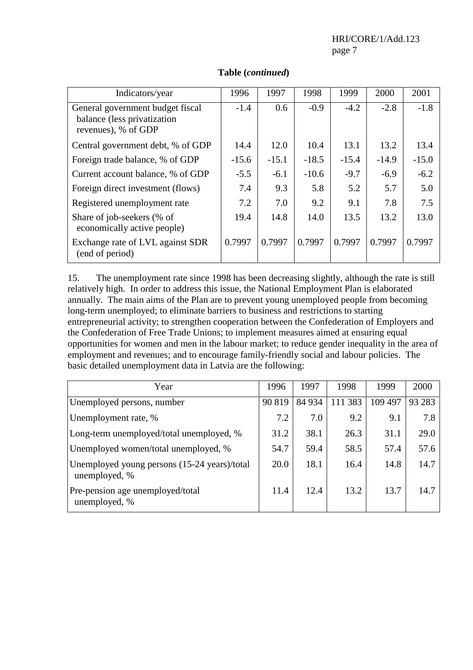HRI/CORE/1/Add.123 page 7

| Indicators/year                                                                        | 1996    | 1997    | 1998    | 1999    | 2000    | 2001    |
|----------------------------------------------------------------------------------------|---------|---------|---------|---------|---------|---------|
| General government budget fiscal<br>balance (less privatization<br>revenues), % of GDP | $-1.4$  | 0.6     | $-0.9$  | $-4.2$  | $-2.8$  | $-1.8$  |
| Central government debt, % of GDP                                                      | 14.4    | 12.0    | 10.4    | 13.1    | 13.2    | 13.4    |
| Foreign trade balance, % of GDP                                                        | $-15.6$ | $-15.1$ | $-18.5$ | $-15.4$ | $-14.9$ | $-15.0$ |
| Current account balance, % of GDP                                                      | $-5.5$  | $-6.1$  | $-10.6$ | $-9.7$  | $-6.9$  | $-6.2$  |
| Foreign direct investment (flows)                                                      | 7.4     | 9.3     | 5.8     | 5.2     | 5.7     | 5.0     |
| Registered unemployment rate                                                           | 7.2     | 7.0     | 9.2     | 9.1     | 7.8     | 7.5     |
| Share of job-seekers (% of<br>economically active people)                              | 19.4    | 14.8    | 14.0    | 13.5    | 13.2    | 13.0    |
| Exchange rate of LVL against SDR<br>(end of period)                                    | 0.7997  | 0.7997  | 0.7997  | 0.7997  | 0.7997  | 0.7997  |

## **Table (***continued***)**

15. The unemployment rate since 1998 has been decreasing slightly, although the rate is still relatively high. In order to address this issue, the National Employment Plan is elaborated annually. The main aims of the Plan are to prevent young unemployed people from becoming long-term unemployed; to eliminate barriers to business and restrictions to starting entrepreneurial activity; to strengthen cooperation between the Confederation of Employers and the Confederation of Free Trade Unions; to implement measures aimed at ensuring equal opportunities for women and men in the labour market; to reduce gender inequality in the area of employment and revenues; and to encourage family-friendly social and labour policies. The basic detailed unemployment data in Latvia are the following:

| Year                                                          | 1996   | 1997   | 1998    | 1999    | 2000   |
|---------------------------------------------------------------|--------|--------|---------|---------|--------|
| Unemployed persons, number                                    | 90 819 | 84 934 | 111 383 | 109 497 | 93 283 |
| Unemployment rate, %                                          | 7.2    | 7.0    | 9.2     | 9.1     | 7.8    |
| Long-term unemployed/total unemployed, %                      | 31.2   | 38.1   | 26.3    | 31.1    | 29.0   |
| Unemployed women/total unemployed, %                          | 54.7   | 59.4   | 58.5    | 57.4    | 57.6   |
| Unemployed young persons (15-24 years)/total<br>unemployed, % | 20.0   | 18.1   | 16.4    | 14.8    | 14.7   |
| Pre-pension age unemployed/total<br>unemployed, %             | 11.4   | 12.4   | 13.2    | 13.7    | 14.7   |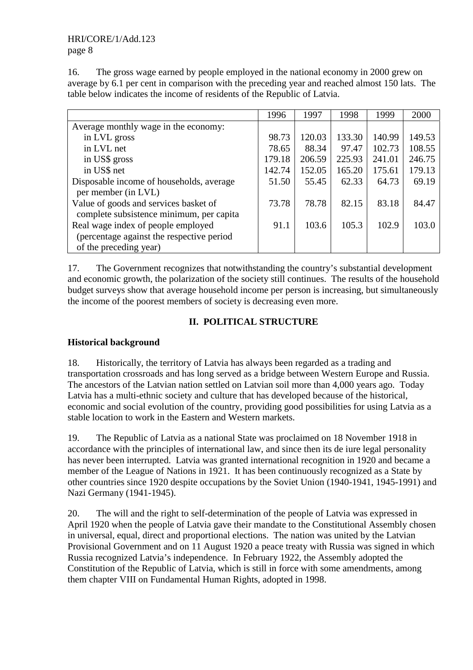### HRI/CORE/1/Add.123 page 8

16. The gross wage earned by people employed in the national economy in 2000 grew on average by 6.1 per cent in comparison with the preceding year and reached almost 150 lats. The table below indicates the income of residents of the Republic of Latvia.

|                                           | 1996   | 1997   | 1998   | 1999   | 2000   |
|-------------------------------------------|--------|--------|--------|--------|--------|
| Average monthly wage in the economy:      |        |        |        |        |        |
| in LVL gross                              | 98.73  | 120.03 | 133.30 | 140.99 | 149.53 |
| in LVL net                                | 78.65  | 88.34  | 97.47  | 102.73 | 108.55 |
| in US\$ gross                             | 179.18 | 206.59 | 225.93 | 241.01 | 246.75 |
| in US\$ net                               | 142.74 | 152.05 | 165.20 | 175.61 | 179.13 |
| Disposable income of households, average  | 51.50  | 55.45  | 62.33  | 64.73  | 69.19  |
| per member (in LVL)                       |        |        |        |        |        |
| Value of goods and services basket of     | 73.78  | 78.78  | 82.15  | 83.18  | 84.47  |
| complete subsistence minimum, per capita  |        |        |        |        |        |
| Real wage index of people employed        | 91.1   | 103.6  | 105.3  | 102.9  | 103.0  |
| (percentage against the respective period |        |        |        |        |        |
| of the preceding year)                    |        |        |        |        |        |

17. The Government recognizes that notwithstanding the country's substantial development and economic growth, the polarization of the society still continues. The results of the household budget surveys show that average household income per person is increasing, but simultaneously the income of the poorest members of society is decreasing even more.

# **II. POLITICAL STRUCTURE**

# **Historical background**

18. Historically, the territory of Latvia has always been regarded as a trading and transportation crossroads and has long served as a bridge between Western Europe and Russia. The ancestors of the Latvian nation settled on Latvian soil more than 4,000 years ago. Today Latvia has a multi-ethnic society and culture that has developed because of the historical, economic and social evolution of the country, providing good possibilities for using Latvia as a stable location to work in the Eastern and Western markets.

19. The Republic of Latvia as a national State was proclaimed on 18 November 1918 in accordance with the principles of international law, and since then its de iure legal personality has never been interrupted. Latvia was granted international recognition in 1920 and became a member of the League of Nations in 1921. It has been continuously recognized as a State by other countries since 1920 despite occupations by the Soviet Union (1940-1941, 1945-1991) and Nazi Germany (1941-1945).

20. The will and the right to self-determination of the people of Latvia was expressed in April 1920 when the people of Latvia gave their mandate to the Constitutional Assembly chosen in universal, equal, direct and proportional elections. The nation was united by the Latvian Provisional Government and on 11 August 1920 a peace treaty with Russia was signed in which Russia recognized Latvia's independence. In February 1922, the Assembly adopted the Constitution of the Republic of Latvia, which is still in force with some amendments, among them chapter VIII on Fundamental Human Rights, adopted in 1998.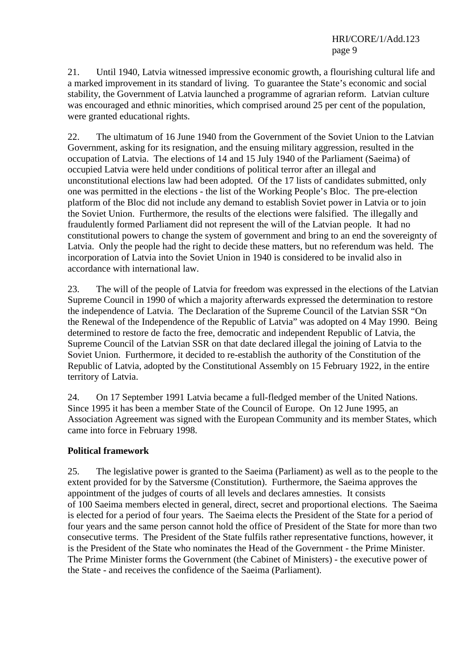21. Until 1940, Latvia witnessed impressive economic growth, a flourishing cultural life and a marked improvement in its standard of living. To guarantee the State's economic and social stability, the Government of Latvia launched a programme of agrarian reform. Latvian culture was encouraged and ethnic minorities, which comprised around 25 per cent of the population, were granted educational rights.

22. The ultimatum of 16 June 1940 from the Government of the Soviet Union to the Latvian Government, asking for its resignation, and the ensuing military aggression, resulted in the occupation of Latvia. The elections of 14 and 15 July 1940 of the Parliament (Saeima) of occupied Latvia were held under conditions of political terror after an illegal and unconstitutional elections law had been adopted. Of the 17 lists of candidates submitted, only one was permitted in the elections - the list of the Working People's Bloc. The pre-election platform of the Bloc did not include any demand to establish Soviet power in Latvia or to join the Soviet Union. Furthermore, the results of the elections were falsified. The illegally and fraudulently formed Parliament did not represent the will of the Latvian people. It had no constitutional powers to change the system of government and bring to an end the sovereignty of Latvia. Only the people had the right to decide these matters, but no referendum was held. The incorporation of Latvia into the Soviet Union in 1940 is considered to be invalid also in accordance with international law.

23. The will of the people of Latvia for freedom was expressed in the elections of the Latvian Supreme Council in 1990 of which a majority afterwards expressed the determination to restore the independence of Latvia. The Declaration of the Supreme Council of the Latvian SSR "On the Renewal of the Independence of the Republic of Latvia" was adopted on 4 May 1990. Being determined to restore de facto the free, democratic and independent Republic of Latvia, the Supreme Council of the Latvian SSR on that date declared illegal the joining of Latvia to the Soviet Union. Furthermore, it decided to re-establish the authority of the Constitution of the Republic of Latvia, adopted by the Constitutional Assembly on 15 February 1922, in the entire territory of Latvia.

24. On 17 September 1991 Latvia became a full-fledged member of the United Nations. Since 1995 it has been a member State of the Council of Europe. On 12 June 1995, an Association Agreement was signed with the European Community and its member States, which came into force in February 1998.

#### **Political framework**

25. The legislative power is granted to the Saeima (Parliament) as well as to the people to the extent provided for by the Satversme (Constitution). Furthermore, the Saeima approves the appointment of the judges of courts of all levels and declares amnesties. It consists of 100 Saeima members elected in general, direct, secret and proportional elections. The Saeima is elected for a period of four years. The Saeima elects the President of the State for a period of four years and the same person cannot hold the office of President of the State for more than two consecutive terms. The President of the State fulfils rather representative functions, however, it is the President of the State who nominates the Head of the Government - the Prime Minister. The Prime Minister forms the Government (the Cabinet of Ministers) - the executive power of the State - and receives the confidence of the Saeima (Parliament).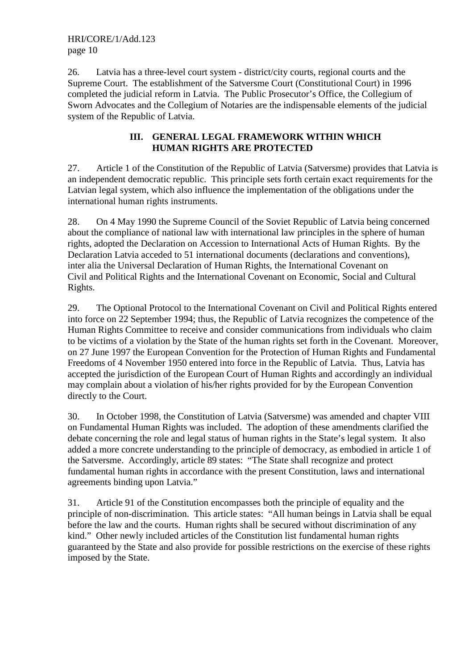26. Latvia has a three-level court system - district/city courts, regional courts and the Supreme Court. The establishment of the Satversme Court (Constitutional Court) in 1996 completed the judicial reform in Latvia. The Public Prosecutor's Office, the Collegium of Sworn Advocates and the Collegium of Notaries are the indispensable elements of the judicial system of the Republic of Latvia.

#### **III. GENERAL LEGAL FRAMEWORK WITHIN WHICH HUMAN RIGHTS ARE PROTECTED**

27. Article 1 of the Constitution of the Republic of Latvia (Satversme) provides that Latvia is an independent democratic republic. This principle sets forth certain exact requirements for the Latvian legal system, which also influence the implementation of the obligations under the international human rights instruments.

28. On 4 May 1990 the Supreme Council of the Soviet Republic of Latvia being concerned about the compliance of national law with international law principles in the sphere of human rights, adopted the Declaration on Accession to International Acts of Human Rights. By the Declaration Latvia acceded to 51 international documents (declarations and conventions), inter alia the Universal Declaration of Human Rights, the International Covenant on Civil and Political Rights and the International Covenant on Economic, Social and Cultural Rights.

29. The Optional Protocol to the International Covenant on Civil and Political Rights entered into force on 22 September 1994; thus, the Republic of Latvia recognizes the competence of the Human Rights Committee to receive and consider communications from individuals who claim to be victims of a violation by the State of the human rights set forth in the Covenant. Moreover, on 27 June 1997 the European Convention for the Protection of Human Rights and Fundamental Freedoms of 4 November 1950 entered into force in the Republic of Latvia. Thus, Latvia has accepted the jurisdiction of the European Court of Human Rights and accordingly an individual may complain about a violation of his/her rights provided for by the European Convention directly to the Court.

30. In October 1998, the Constitution of Latvia (Satversme) was amended and chapter VIII on Fundamental Human Rights was included. The adoption of these amendments clarified the debate concerning the role and legal status of human rights in the State's legal system. It also added a more concrete understanding to the principle of democracy, as embodied in article 1 of the Satversme. Accordingly, article 89 states: "The State shall recognize and protect fundamental human rights in accordance with the present Constitution, laws and international agreements binding upon Latvia."

31. Article 91 of the Constitution encompasses both the principle of equality and the principle of non-discrimination. This article states: "All human beings in Latvia shall be equal before the law and the courts. Human rights shall be secured without discrimination of any kind." Other newly included articles of the Constitution list fundamental human rights guaranteed by the State and also provide for possible restrictions on the exercise of these rights imposed by the State.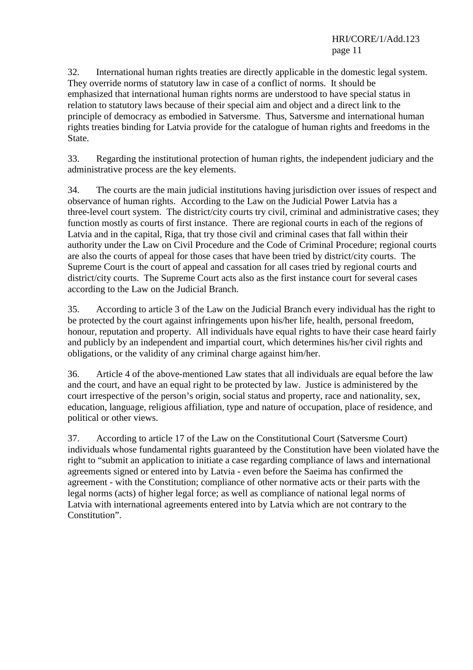#### HRI/CORE/1/Add.123 page 11

32. International human rights treaties are directly applicable in the domestic legal system. They override norms of statutory law in case of a conflict of norms. It should be emphasized that international human rights norms are understood to have special status in relation to statutory laws because of their special aim and object and a direct link to the principle of democracy as embodied in Satversme. Thus, Satversme and international human rights treaties binding for Latvia provide for the catalogue of human rights and freedoms in the State.

33. Regarding the institutional protection of human rights, the independent judiciary and the administrative process are the key elements.

34. The courts are the main judicial institutions having jurisdiction over issues of respect and observance of human rights. According to the Law on the Judicial Power Latvia has a three-level court system. The district/city courts try civil, criminal and administrative cases; they function mostly as courts of first instance. There are regional courts in each of the regions of Latvia and in the capital, Riga, that try those civil and criminal cases that fall within their authority under the Law on Civil Procedure and the Code of Criminal Procedure; regional courts are also the courts of appeal for those cases that have been tried by district/city courts. The Supreme Court is the court of appeal and cassation for all cases tried by regional courts and district/city courts. The Supreme Court acts also as the first instance court for several cases according to the Law on the Judicial Branch.

35. According to article 3 of the Law on the Judicial Branch every individual has the right to be protected by the court against infringements upon his/her life, health, personal freedom, honour, reputation and property. All individuals have equal rights to have their case heard fairly and publicly by an independent and impartial court, which determines his/her civil rights and obligations, or the validity of any criminal charge against him/her.

36. Article 4 of the above-mentioned Law states that all individuals are equal before the law and the court, and have an equal right to be protected by law. Justice is administered by the court irrespective of the person's origin, social status and property, race and nationality, sex, education, language, religious affiliation, type and nature of occupation, place of residence, and political or other views.

37. According to article 17 of the Law on the Constitutional Court (Satversme Court) individuals whose fundamental rights guaranteed by the Constitution have been violated have the right to "submit an application to initiate a case regarding compliance of laws and international agreements signed or entered into by Latvia - even before the Saeima has confirmed the agreement - with the Constitution; compliance of other normative acts or their parts with the legal norms (acts) of higher legal force; as well as compliance of national legal norms of Latvia with international agreements entered into by Latvia which are not contrary to the Constitution".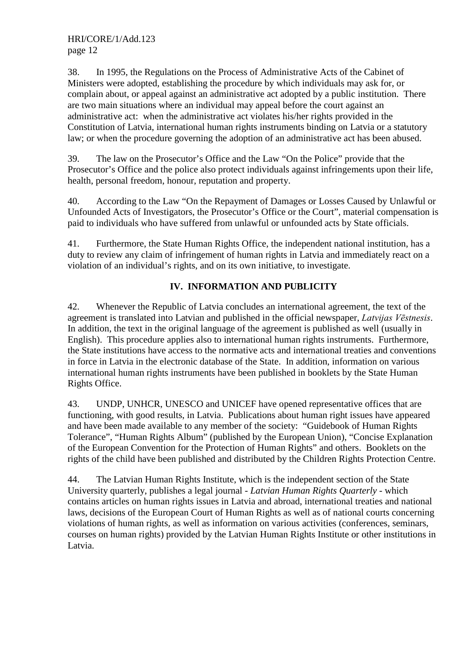38. In 1995, the Regulations on the Process of Administrative Acts of the Cabinet of Ministers were adopted, establishing the procedure by which individuals may ask for, or complain about, or appeal against an administrative act adopted by a public institution. There are two main situations where an individual may appeal before the court against an administrative act: when the administrative act violates his/her rights provided in the Constitution of Latvia, international human rights instruments binding on Latvia or a statutory law; or when the procedure governing the adoption of an administrative act has been abused.

39. The law on the Prosecutor's Office and the Law "On the Police" provide that the Prosecutor's Office and the police also protect individuals against infringements upon their life, health, personal freedom, honour, reputation and property.

40. According to the Law "On the Repayment of Damages or Losses Caused by Unlawful or Unfounded Acts of Investigators, the Prosecutor's Office or the Court", material compensation is paid to individuals who have suffered from unlawful or unfounded acts by State officials.

41. Furthermore, the State Human Rights Office, the independent national institution, has a duty to review any claim of infringement of human rights in Latvia and immediately react on a violation of an individual's rights, and on its own initiative, to investigate.

# **IV. INFORMATION AND PUBLICITY**

42. Whenever the Republic of Latvia concludes an international agreement, the text of the agreement is translated into Latvian and published in the official newspaper, Latvijas Vēstnesis. In addition, the text in the original language of the agreement is published as well (usually in English). This procedure applies also to international human rights instruments. Furthermore, the State institutions have access to the normative acts and international treaties and conventions in force in Latvia in the electronic database of the State. In addition, information on various international human rights instruments have been published in booklets by the State Human Rights Office.

43. UNDP, UNHCR, UNESCO and UNICEF have opened representative offices that are functioning, with good results, in Latvia. Publications about human right issues have appeared and have been made available to any member of the society: "Guidebook of Human Rights Tolerance", "Human Rights Album" (published by the European Union), "Concise Explanation of the European Convention for the Protection of Human Rights" and others. Booklets on the rights of the child have been published and distributed by the Children Rights Protection Centre.

44. The Latvian Human Rights Institute, which is the independent section of the State University quarterly, publishes a legal journal - *Latvian Human Rights Quarterly* - which contains articles on human rights issues in Latvia and abroad, international treaties and national laws, decisions of the European Court of Human Rights as well as of national courts concerning violations of human rights, as well as information on various activities (conferences, seminars, courses on human rights) provided by the Latvian Human Rights Institute or other institutions in Latvia.